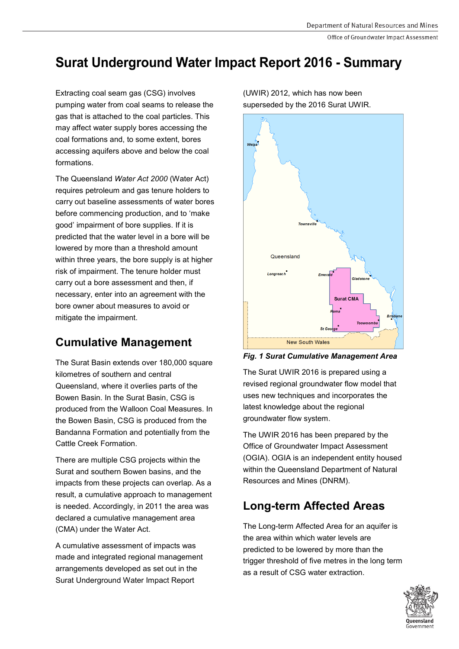Office of Groundwater Impact Assessment

# **Surat Underground Water Impact Report 2016 - Summary**

Extracting coal seam gas (CSG) involves pumping water from coal seams to release the gas that is attached to the coal particles. This may affect water supply bores accessing the coal formations and, to some extent, bores accessing aquifers above and below the coal formations.

The Queensland *Water Act 2000* (Water Act) requires petroleum and gas tenure holders to carry out baseline assessments of water bores before commencing production, and to 'make good' impairment of bore supplies. If it is predicted that the water level in a bore will be lowered by more than a threshold amount within three years, the bore supply is at higher risk of impairment. The tenure holder must carry out a bore assessment and then, if necessary, enter into an agreement with the bore owner about measures to avoid or mitigate the impairment.

# **Cumulative Management**

The Surat Basin extends over 180,000 square kilometres of southern and central Queensland, where it overlies parts of the Bowen Basin. In the Surat Basin, CSG is produced from the Walloon Coal Measures. In the Bowen Basin, CSG is produced from the Bandanna Formation and potentially from the Cattle Creek Formation.

There are multiple CSG projects within the Surat and southern Bowen basins, and the impacts from these projects can overlap. As a result, a cumulative approach to management is needed. Accordingly, in 2011 the area was declared a cumulative management area (CMA) under the Water Act.

A cumulative assessment of impacts was made and integrated regional management arrangements developed as set out in the Surat Underground Water Impact Report

Queensland **Longreach Surat CMA** New South Wales

(UWIR) 2012, which has now been superseded by the 2016 Surat UWIR.

*Fig. 1 Surat Cumulative Management Area*

The Surat UWIR 2016 is prepared using a revised regional groundwater flow model that uses new techniques and incorporates the latest knowledge about the regional groundwater flow system.

The UWIR 2016 has been prepared by the Office of Groundwater Impact Assessment (OGIA). OGIA is an independent entity housed within the Queensland Department of Natural Resources and Mines (DNRM).

# **Long-term Affected Areas**

The Long-term Affected Area for an aquifer is the area within which water levels are predicted to be lowered by more than the trigger threshold of five metres in the long term as a result of CSG water extraction.

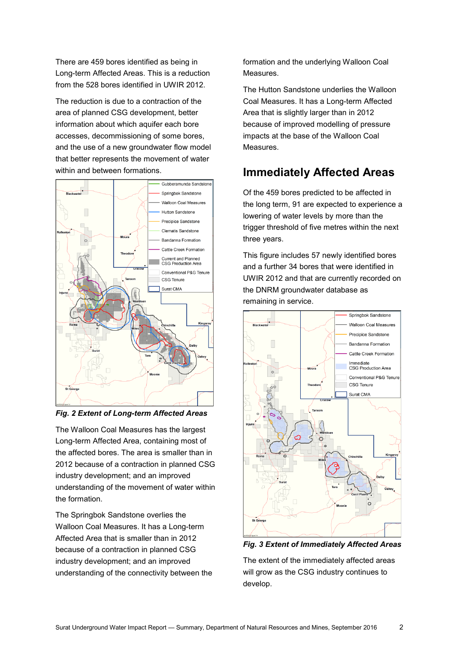There are 459 bores identified as being in Long-term Affected Areas. This is a reduction from the 528 bores identified in UWIR 2012.

The reduction is due to a contraction of the area of planned CSG development, better information about which aquifer each bore accesses, decommissioning of some bores, and the use of a new groundwater flow model that better represents the movement of water within and between formations.



*Fig. 2 Extent of Long-term Affected Areas*

The Walloon Coal Measures has the largest Long-term Affected Area, containing most of the affected bores. The area is smaller than in 2012 because of a contraction in planned CSG industry development; and an improved understanding of the movement of water within the formation.

The Springbok Sandstone overlies the Walloon Coal Measures. It has a Long-term Affected Area that is smaller than in 2012 because of a contraction in planned CSG industry development; and an improved understanding of the connectivity between the formation and the underlying Walloon Coal Measures.

The Hutton Sandstone underlies the Walloon Coal Measures. It has a Long-term Affected Area that is slightly larger than in 2012 because of improved modelling of pressure impacts at the base of the Walloon Coal Measures.

# **Immediately Affected Areas**

Of the 459 bores predicted to be affected in the long term, 91 are expected to experience a lowering of water levels by more than the trigger threshold of five metres within the next three years.

This figure includes 57 newly identified bores and a further 34 bores that were identified in UWIR 2012 and that are currently recorded on the DNRM groundwater database as remaining in service.



*Fig. 3 Extent of Immediately Affected Areas*

The extent of the immediately affected areas will grow as the CSG industry continues to develop.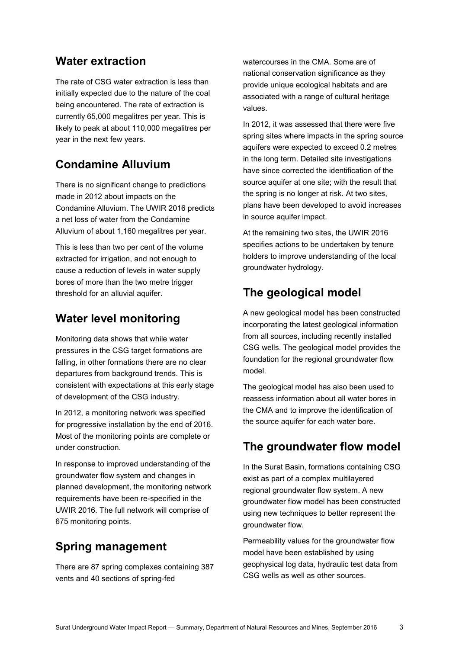#### **Water extraction**

The rate of CSG water extraction is less than initially expected due to the nature of the coal being encountered. The rate of extraction is currently 65,000 megalitres per year. This is likely to peak at about 110,000 megalitres per year in the next few years.

#### **Condamine Alluvium**

There is no significant change to predictions made in 2012 about impacts on the Condamine Alluvium. The UWIR 2016 predicts a net loss of water from the Condamine Alluvium of about 1,160 megalitres per year.

This is less than two per cent of the volume extracted for irrigation, and not enough to cause a reduction of levels in water supply bores of more than the two metre trigger threshold for an alluvial aquifer.

#### **Water level monitoring**

Monitoring data shows that while water pressures in the CSG target formations are falling, in other formations there are no clear departures from background trends. This is consistent with expectations at this early stage of development of the CSG industry.

In 2012, a monitoring network was specified for progressive installation by the end of 2016. Most of the monitoring points are complete or under construction.

In response to improved understanding of the groundwater flow system and changes in planned development, the monitoring network requirements have been re-specified in the UWIR 2016. The full network will comprise of 675 monitoring points.

### **Spring management**

There are 87 spring complexes containing 387 vents and 40 sections of spring-fed

watercourses in the CMA. Some are of national conservation significance as they provide unique ecological habitats and are associated with a range of cultural heritage values.

In 2012, it was assessed that there were five spring sites where impacts in the spring source aquifers were expected to exceed 0.2 metres in the long term. Detailed site investigations have since corrected the identification of the source aquifer at one site; with the result that the spring is no longer at risk. At two sites, plans have been developed to avoid increases in source aquifer impact.

At the remaining two sites, the UWIR 2016 specifies actions to be undertaken by tenure holders to improve understanding of the local groundwater hydrology.

### **The geological model**

A new geological model has been constructed incorporating the latest geological information from all sources, including recently installed CSG wells. The geological model provides the foundation for the regional groundwater flow model.

The geological model has also been used to reassess information about all water bores in the CMA and to improve the identification of the source aquifer for each water bore.

### **The groundwater flow model**

In the Surat Basin, formations containing CSG exist as part of a complex multilayered regional groundwater flow system. A new groundwater flow model has been constructed using new techniques to better represent the groundwater flow.

Permeability values for the groundwater flow model have been established by using geophysical log data, hydraulic test data from CSG wells as well as other sources.